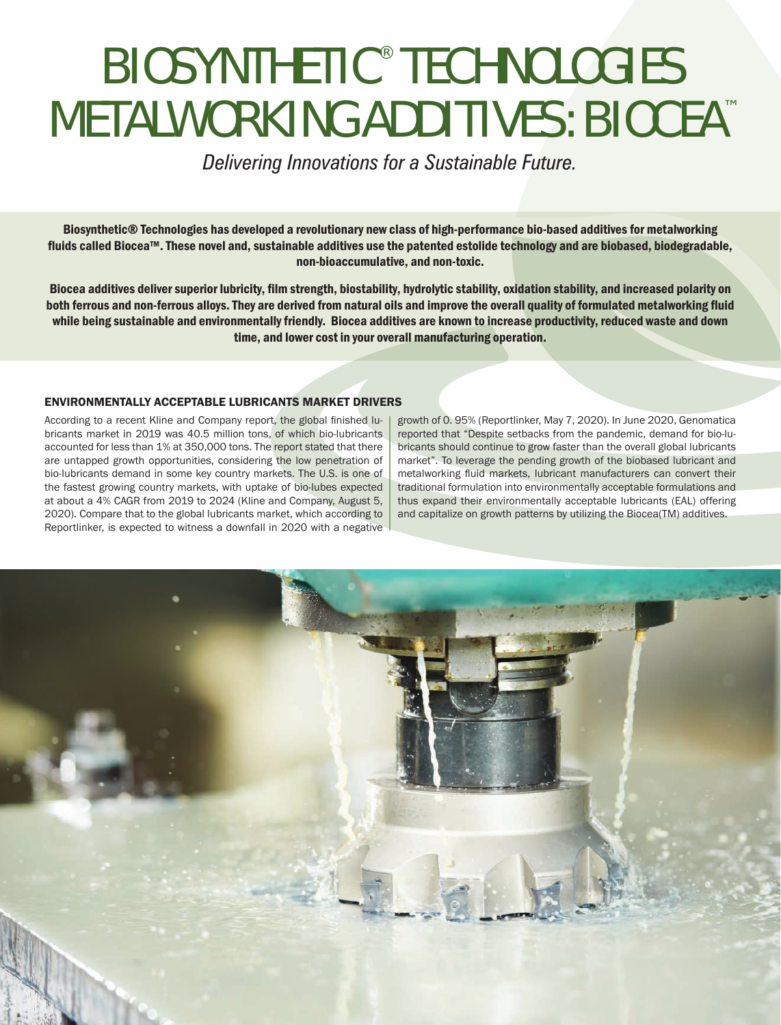# BIOSYNTHETIC® TECHNOLOGIES METALWORKING ADDITIVES: BIOCEA™

*Delivering Innovations for a Sustainable Future.*

Biosynthetic® Technologies has developed a revolutionary new class of high-performance bio-based additives for metalworking fluids called Biocea™. These novel and, sustainable additives use the patented estolide technology and are biobased, biodegradable, non-bioaccumulative, and non-toxic.

Biocea additives deliver superior lubricity, film strength, biostability, hydrolytic stability, oxidation stability, and increased polarity on both ferrous and non-ferrous alloys. They are derived from natural oils and improve the overall quality of formulated metalworking fluid while being sustainable and environmentally friendly. Biocea additives are known to increase productivity, reduced waste and down time, and lower cost in your overall manufacturing operation.

#### ENVIRONMENTALLY ACCEPTABLE LUBRICANTS MARKET DRIVERS

According to a recent Kline and Company report, the global finished lubricants market in 2019 was 40.5 million tons, of which bio-lubricants accounted for less than 1% at 350,000 tons. The report stated that there are untapped growth opportunities, considering the low penetration of bio-lubricants demand in some key country markets. The U.S. is one of the fastest growing country markets, with uptake of bio-lubes expected at about a 4% CAGR from 2019 to 2024 (Kline and Company, August 5, 2020). Compare that to the global lubricants market, which according to Reportlinker, is expected to witness a downfall in 2020 with a negative

growth of 0. 95% (Reportlinker, May 7, 2020). In June 2020, Genomatica reported that "Despite setbacks from the pandemic, demand for bio-lubricants should continue to grow faster than the overall global lubricants market". To leverage the pending growth of the biobased lubricant and metalworking fluid markets, lubricant manufacturers can convert their traditional formulation into environmentally acceptable formulations and thus expand their environmentally acceptable lubricants (EAL) offering and capitalize on growth patterns by utilizing the Biocea(TM) additives.

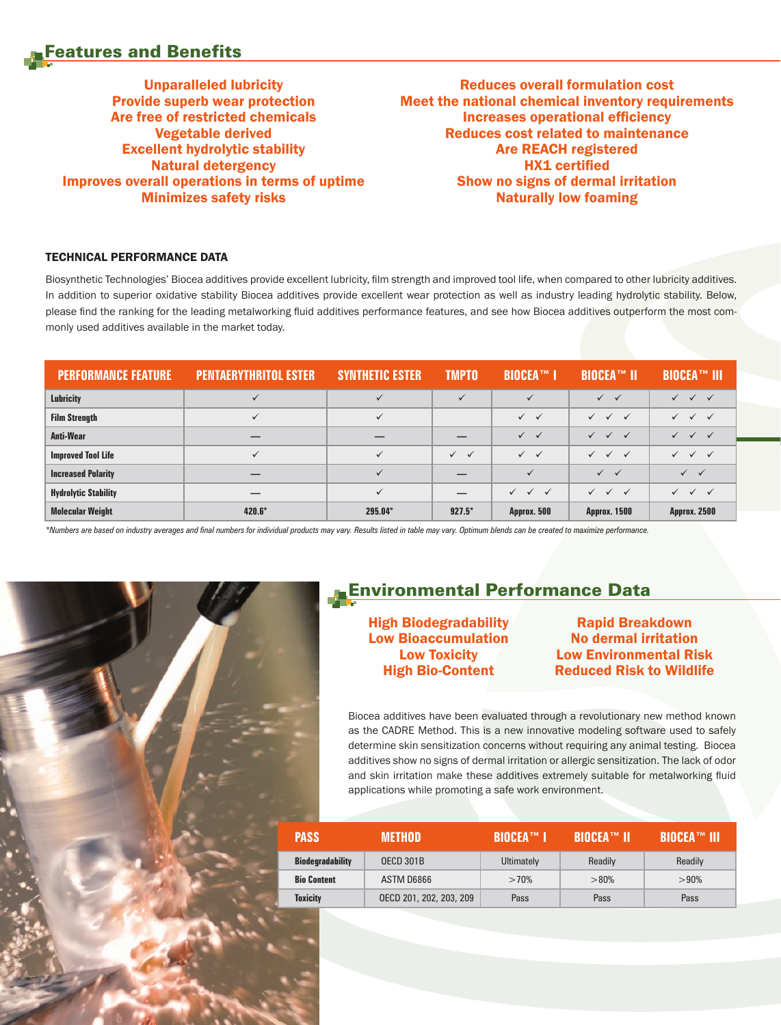### Features and Benefits

Unparalleled lubricity Provide superb wear protection Are free of restricted chemicals Vegetable derived Excellent hydrolytic stability Natural detergency Improves overall operations in terms of uptime Minimizes safety risks

Reduces overall formulation cost Meet the national chemical inventory requirements Increases operational efficiency Reduces cost related to maintenance Are REACH registered HX1 certified Show no signs of dermal irritation Naturally low foaming

#### TECHNICAL PERFORMANCE DATA

Biosynthetic Technologies' Biocea additives provide excellent lubricity, film strength and improved tool life, when compared to other lubricity additives. In addition to superior oxidative stability Biocea additives provide excellent wear protection as well as industry leading hydrolytic stability. Below, please find the ranking for the leading metalworking fluid additives performance features, and see how Biocea additives outperform the most commonly used additives available in the market today.

| <b>PERFORMANCE FEATURE</b>  | <b>PENTAERYTHRITOL ESTER</b> | <b>SYNTHETIC ESTER</b> | <b>TMPTO</b>              | <b>BIOCEA™ I</b>             | <b>BIOCEA™ II</b>                         | <b>BIOCEA™ III</b>        |
|-----------------------------|------------------------------|------------------------|---------------------------|------------------------------|-------------------------------------------|---------------------------|
| <b>Lubricity</b>            | $\checkmark$                 |                        |                           | $\checkmark$                 | $\checkmark$                              | $\checkmark$ $\checkmark$ |
| <b>Film Strength</b>        | $\checkmark$                 | ✓                      |                           | $\checkmark$ $\checkmark$    | $\checkmark$ $\checkmark$ $\checkmark$    | $\checkmark$ $\checkmark$ |
| Anti-Wear                   |                              |                        |                           | $\checkmark$ $\checkmark$    | $\checkmark$<br>$\checkmark$ $\checkmark$ |                           |
| <b>Improved Tool Life</b>   | $\checkmark$                 | ✓                      | $\checkmark$ $\checkmark$ | $\checkmark$ $\checkmark$    | $\checkmark$<br>$\checkmark$ $\checkmark$ | $\checkmark$ $\checkmark$ |
| <b>Increased Polarity</b>   |                              |                        |                           | $\checkmark$                 | $\checkmark$ $\checkmark$                 | $\checkmark$ $\checkmark$ |
| <b>Hydrolytic Stability</b> |                              |                        |                           | $\checkmark$<br>$\checkmark$ | $\checkmark$<br>$\checkmark$ $\checkmark$ |                           |
| <b>Molecular Weight</b>     | $420.6*$                     | 295.04*                | $927.5*$                  | Approx. 500                  | <b>Approx. 1500</b>                       | <b>Approx. 2500</b>       |

*\*Numbers are based on industry averages and final numbers for individual products may vary. Results listed in table may vary. Optimum blends can be created to maximize performance.*



## Environmental Performance Data

High Biodegradability Low Bioaccumulation Low Toxicity High Bio-Content

Rapid Breakdown No dermal irritation Low Environmental Risk Reduced Risk to Wildlife

Biocea additives have been evaluated through a revolutionary new method known as the CADRE Method. This is a new innovative modeling software used to safely determine skin sensitization concerns without requiring any animal testing. Biocea additives show no signs of dermal irritation or allergic sensitization. The lack of odor and skin irritation make these additives extremely suitable for metalworking fluid applications while promoting a safe work environment.

| <b>PASS</b>             | <b>METHOD</b>           | <b>NBIOCEA™ A</b> | LBIOCEA™ II' | <b>BIOCEA™ IIIV</b> |
|-------------------------|-------------------------|-------------------|--------------|---------------------|
| <b>Biodegradability</b> | <b>OECD 301B</b>        | Ultimately        | Readily      | Readily             |
| <b>Bio Content</b>      | ASTM D6866              | >70%              | >80%         | >90%                |
| <b>Toxicity</b>         | OECD 201, 202, 203, 209 | Pass              | Pass         | Pass                |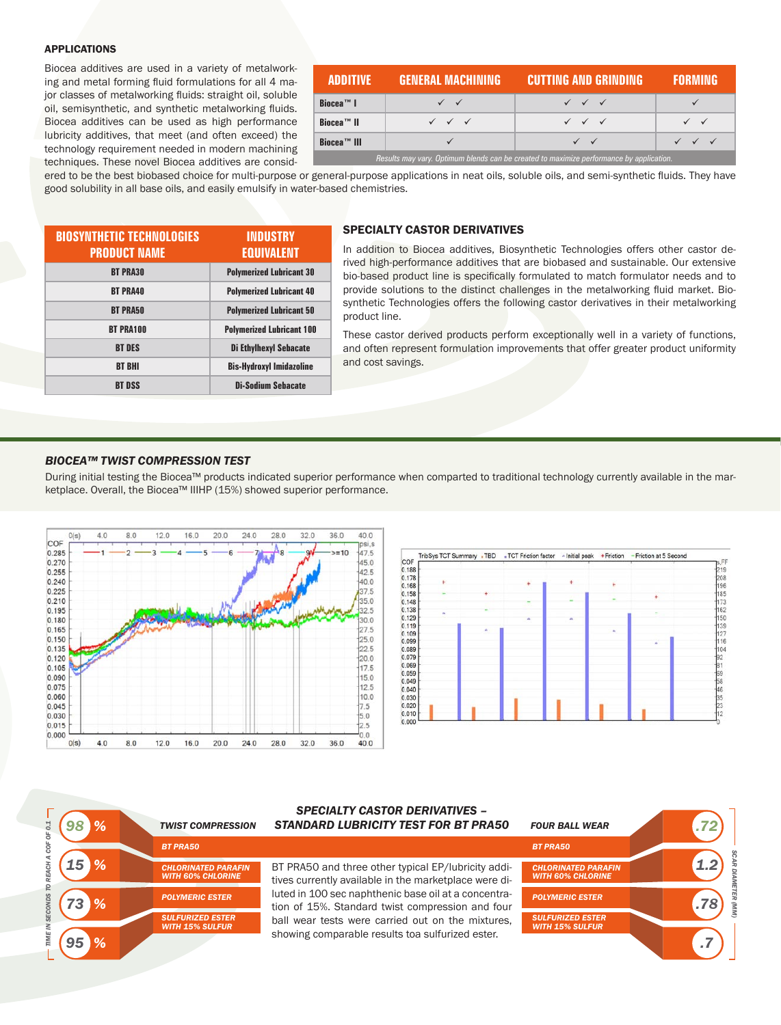#### APPLICATIONS

Biocea additives are used in a variety of metalworking and metal forming fluid formulations for all 4 major classes of metalworking fluids: straight oil, soluble oil, semisynthetic, and synthetic metalworking fluids. Biocea additives can be used as high performance lubricity additives, that meet (and often exceed) the technology requirement needed in modern machining techniques. These novel Biocea additives are consid-

| <b>ADDITIVE</b>                                                                         | GENERAL MACHINING                      | <b>CUTTING AND GRINDING</b>            | <b>FORMING</b> |  |  |
|-----------------------------------------------------------------------------------------|----------------------------------------|----------------------------------------|----------------|--|--|
| <b>Biocea™ I</b>                                                                        |                                        | $\checkmark$ $\checkmark$ $\checkmark$ |                |  |  |
| <b>Biocea™ II</b>                                                                       | $\checkmark$ $\checkmark$ $\checkmark$ | $\checkmark$ $\checkmark$ $\checkmark$ |                |  |  |
| <b>Biocea™ III</b>                                                                      |                                        | $\sqrt{2}$                             |                |  |  |
| Results may vary. Optimum blends can be created to maximize performance by application. |                                        |                                        |                |  |  |

ered to be the best biobased choice for multi-purpose or general-purpose applications in neat oils, soluble oils, and semi-synthetic fluids. They have good solubility in all base oils, and easily emulsify in water-based chemistries.

| <b>BIOSYNTHETIC TECHNOLOGIES</b><br><b>PRODUCT NAME</b> | INDUSTRY<br><b>EQUIVALENT</b>    |
|---------------------------------------------------------|----------------------------------|
| <b>BT PRA30</b>                                         | <b>Polymerized Lubricant 30</b>  |
| <b>BT PRA40</b>                                         | <b>Polymerized Lubricant 40</b>  |
| <b>BT PRA50</b>                                         | <b>Polymerized Lubricant 50</b>  |
| <b>BT PRA100</b>                                        | <b>Polymerized Lubricant 100</b> |
| <b>BT DES</b>                                           | <b>Di Ethylhexyl Sebacate</b>    |
| <b>BT BHI</b>                                           | <b>Bis-Hydroxyl Imidazoline</b>  |
| <b>BT DSS</b>                                           | <b>Di-Sodium Sebacate</b>        |

#### SPECIALTY CASTOR DERIVATIVES

In addition to Biocea additives, Biosynthetic Technologies offers other castor derived high-performance additives that are biobased and sustainable. Our extensive bio-based product line is specifically formulated to match formulator needs and to provide solutions to the distinct challenges in the metalworking fluid market. Biosynthetic Technologies offers the following castor derivatives in their metalworking product line.

These castor derived products perform exceptionally well in a variety of functions, and often represent formulation improvements that offer greater product uniformity and cost savings.

#### *BIOCEA™ TWIST COMPRESSION TEST*

During initial testing the Biocea™ products indicated superior performance when comparted to traditional technology currently available in the marketplace. Overall, the Biocea™ IIIHP (15%) showed superior performance.





|  | <b>TWIST COMPRESSION</b>                               | <b>SPECIALTY CASTOR DERIVATIVES -</b><br><b>STANDARD LUBRICITY TEST FOR BT PRA50</b>                         | <b>FOUR BALL WEAR</b>                                  | 72  |
|--|--------------------------------------------------------|--------------------------------------------------------------------------------------------------------------|--------------------------------------------------------|-----|
|  | <b>BT PRA50</b>                                        |                                                                                                              | <b>BT PRA50</b>                                        |     |
|  | <b>CHLORINATED PARAFIN</b><br><b>WITH 60% CHLORINE</b> | BT PRA50 and three other typical EP/lubricity addi-<br>tives currently available in the marketplace were di- | <b>CHLORINATED PARAFIN</b><br><b>WITH 60% CHLORINE</b> |     |
|  | <b>POLYMERIC ESTER</b>                                 | luted in 100 sec naphthenic base oil at a concentra-<br>tion of 15%. Standard twist compression and four     | <b>POLYMERIC ESTER</b>                                 | .78 |
|  | <b>SULFURIZED ESTER</b><br><b>WITH 15% SULFUR</b>      | ball wear tests were carried out on the mixtures.                                                            | <b>SULFURIZED ESTER</b><br><b>WITH 15% SULFUR</b>      |     |
|  |                                                        | showing comparable results toa sulfurized ester.                                                             |                                                        |     |